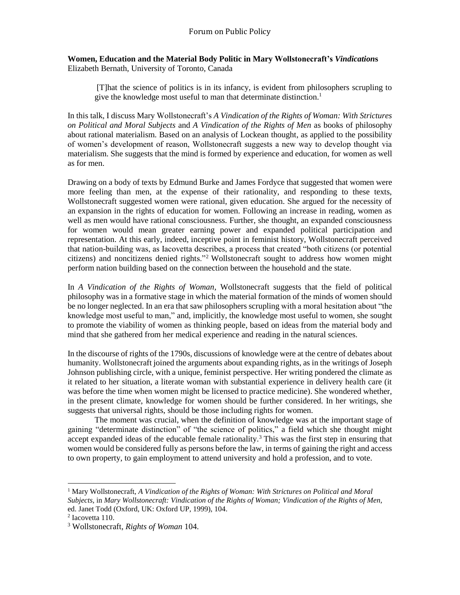#### **Women, Education and the Material Body Politic in Mary Wollstonecraft's** *Vindication***s** Elizabeth Bernath, University of Toronto, Canada

[T]hat the science of politics is in its infancy, is evident from philosophers scrupling to give the knowledge most useful to man that determinate distinction.<sup>1</sup>

In this talk, I discuss Mary Wollstonecraft's *A Vindication of the Rights of Woman: With Strictures on Political and Moral Subjects* and *A Vindication of the Rights of Men* as books of philosophy about rational materialism. Based on an analysis of Lockean thought, as applied to the possibility of women's development of reason, Wollstonecraft suggests a new way to develop thought via materialism. She suggests that the mind is formed by experience and education, for women as well as for men.

Drawing on a body of texts by Edmund Burke and James Fordyce that suggested that women were more feeling than men, at the expense of their rationality, and responding to these texts, Wollstonecraft suggested women were rational, given education. She argued for the necessity of an expansion in the rights of education for women. Following an increase in reading, women as well as men would have rational consciousness. Further, she thought, an expanded consciousness for women would mean greater earning power and expanded political participation and representation. At this early, indeed, inceptive point in feminist history, Wollstonecraft perceived that nation-building was, as Iacovetta describes, a process that created "both citizens (or potential citizens) and noncitizens denied rights."<sup>2</sup> Wollstonecraft sought to address how women might perform nation building based on the connection between the household and the state.

In *A Vindication of the Rights of Woman*, Wollstonecraft suggests that the field of political philosophy was in a formative stage in which the material formation of the minds of women should be no longer neglected. In an era that saw philosophers scrupling with a moral hesitation about "the knowledge most useful to man," and, implicitly, the knowledge most useful to women, she sought to promote the viability of women as thinking people, based on ideas from the material body and mind that she gathered from her medical experience and reading in the natural sciences.

In the discourse of rights of the 1790s, discussions of knowledge were at the centre of debates about humanity. Wollstonecraft joined the arguments about expanding rights, as in the writings of Joseph Johnson publishing circle, with a unique, feminist perspective. Her writing pondered the climate as it related to her situation, a literate woman with substantial experience in delivery health care (it was before the time when women might be licensed to practice medicine). She wondered whether, in the present climate, knowledge for women should be further considered. In her writings, she suggests that universal rights, should be those including rights for women.

The moment was crucial, when the definition of knowledge was at the important stage of gaining "determinate distinction" of "the science of politics," a field which she thought might accept expanded ideas of the educable female rationality.<sup>3</sup> This was the first step in ensuring that women would be considered fully as persons before the law, in terms of gaining the right and access to own property, to gain employment to attend university and hold a profession, and to vote.

<sup>1</sup> Mary Wollstonecraft, *A Vindication of the Rights of Woman: With Strictures on Political and Moral Subjects,* in *Mary Wollstonecraft: Vindication of the Rights of Woman; Vindication of the Rights of Men,*  ed. Janet Todd (Oxford, UK: Oxford UP, 1999), 104.

<sup>2</sup> Iacovetta 110.

<sup>3</sup> Wollstonecraft, *Rights of Woman* 104.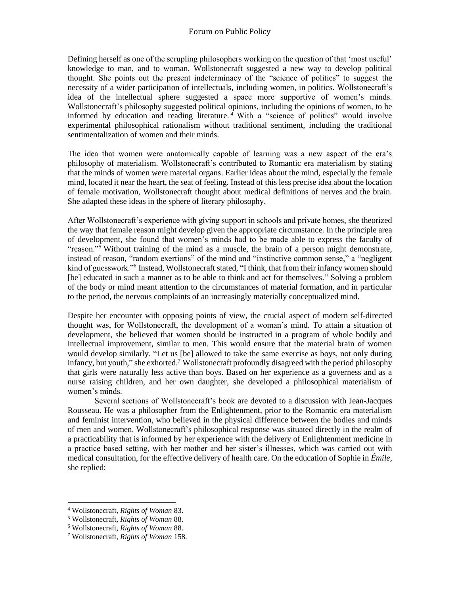Defining herself as one of the scrupling philosophers working on the question of that 'most useful' knowledge to man, and to woman, Wollstonecraft suggested a new way to develop political thought. She points out the present indeterminacy of the "science of politics" to suggest the necessity of a wider participation of intellectuals, including women, in politics. Wollstonecraft's idea of the intellectual sphere suggested a space more supportive of women's minds. Wollstonecraft's philosophy suggested political opinions, including the opinions of women, to be informed by education and reading literature. <sup>4</sup> With a "science of politics" would involve experimental philosophical rationalism without traditional sentiment, including the traditional sentimentalization of women and their minds.

The idea that women were anatomically capable of learning was a new aspect of the era's philosophy of materialism. Wollstonecraft's contributed to Romantic era materialism by stating that the minds of women were material organs. Earlier ideas about the mind, especially the female mind, located it near the heart, the seat of feeling. Instead of this less precise idea about the location of female motivation, Wollstonecraft thought about medical definitions of nerves and the brain. She adapted these ideas in the sphere of literary philosophy.

After Wollstonecraft's experience with giving support in schools and private homes, she theorized the way that female reason might develop given the appropriate circumstance. In the principle area of development, she found that women's minds had to be made able to express the faculty of "reason."<sup>5</sup> Without training of the mind as a muscle, the brain of a person might demonstrate, instead of reason, "random exertions" of the mind and "instinctive common sense," a "negligent kind of guesswork."<sup>6</sup> Instead, Wollstonecraft stated, "I think, that from their infancy women should [be] educated in such a manner as to be able to think and act for themselves." Solving a problem of the body or mind meant attention to the circumstances of material formation, and in particular to the period, the nervous complaints of an increasingly materially conceptualized mind.

Despite her encounter with opposing points of view, the crucial aspect of modern self-directed thought was, for Wollstonecraft, the development of a woman's mind. To attain a situation of development, she believed that women should be instructed in a program of whole bodily and intellectual improvement, similar to men. This would ensure that the material brain of women would develop similarly. "Let us [be] allowed to take the same exercise as boys, not only during infancy, but youth," she exhorted.<sup>7</sup> Wollstonecraft profoundly disagreed with the period philosophy that girls were naturally less active than boys. Based on her experience as a governess and as a nurse raising children, and her own daughter, she developed a philosophical materialism of women's minds.

Several sections of Wollstonecraft's book are devoted to a discussion with Jean-Jacques Rousseau. He was a philosopher from the Enlightenment, prior to the Romantic era materialism and feminist intervention, who believed in the physical difference between the bodies and minds of men and women. Wollstonecraft's philosophical response was situated directly in the realm of a practicability that is informed by her experience with the delivery of Enlightenment medicine in a practice based setting, with her mother and her sister's illnesses, which was carried out with medical consultation, for the effective delivery of health care. On the education of Sophie in *Émile*, she replied:

<sup>4</sup> Wollstonecraft, *Rights of Woman* 83.

<sup>5</sup> Wollstonecraft, *Rights of Woman* 88.

<sup>6</sup> Wollstonecraft, *Rights of Woman* 88.

<sup>7</sup> Wollstonecraft, *Rights of Woman* 158.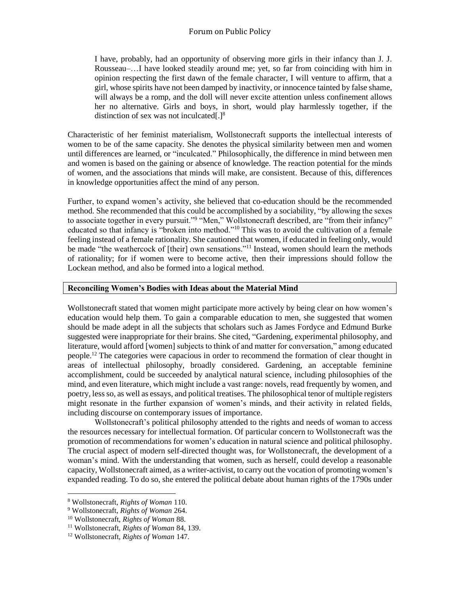## Forum on Public Policy

I have, probably, had an opportunity of observing more girls in their infancy than J. J. Rousseau–…I have looked steadily around me; yet, so far from coinciding with him in opinion respecting the first dawn of the female character, I will venture to affirm, that a girl, whose spirits have not been damped by inactivity, or innocence tainted by false shame, will always be a romp, and the doll will never excite attention unless confinement allows her no alternative. Girls and boys, in short, would play harmlessly together, if the distinction of sex was not inculcated[.] $8$ 

Characteristic of her feminist materialism, Wollstonecraft supports the intellectual interests of women to be of the same capacity. She denotes the physical similarity between men and women until differences are learned, or "inculcated." Philosophically, the difference in mind between men and women is based on the gaining or absence of knowledge. The reaction potential for the minds of women, and the associations that minds will make, are consistent. Because of this, differences in knowledge opportunities affect the mind of any person.

Further, to expand women's activity, she believed that co-education should be the recommended method. She recommended that this could be accomplished by a sociability, "by allowing the sexes to associate together in every pursuit."<sup>9</sup> "Men," Wollstonecraft described, are "from their infancy" educated so that infancy is "broken into method."<sup>10</sup> This was to avoid the cultivation of a female feeling instead of a female rationality. She cautioned that women, if educated in feeling only, would be made "the weathercock of [their] own sensations."<sup>11</sup> Instead, women should learn the methods of rationality; for if women were to become active, then their impressions should follow the Lockean method, and also be formed into a logical method.

#### **Reconciling Women's Bodies with Ideas about the Material Mind**

Wollstonecraft stated that women might participate more actively by being clear on how women's education would help them. To gain a comparable education to men, she suggested that women should be made adept in all the subjects that scholars such as James Fordyce and Edmund Burke suggested were inappropriate for their brains. She cited, "Gardening, experimental philosophy, and literature, would afford [women] subjects to think of and matter for conversation," among educated people.<sup>12</sup> The categories were capacious in order to recommend the formation of clear thought in areas of intellectual philosophy, broadly considered. Gardening, an acceptable feminine accomplishment, could be succeeded by analytical natural science, including philosophies of the mind, and even literature, which might include a vast range: novels, read frequently by women, and poetry, less so, as well as essays, and political treatises. The philosophical tenor of multiple registers might resonate in the further expansion of women's minds, and their activity in related fields, including discourse on contemporary issues of importance.

Wollstonecraft's political philosophy attended to the rights and needs of woman to access the resources necessary for intellectual formation. Of particular concern to Wollstonecraft was the promotion of recommendations for women's education in natural science and political philosophy. The crucial aspect of modern self-directed thought was, for Wollstonecraft, the development of a woman's mind. With the understanding that women, such as herself, could develop a reasonable capacity, Wollstonecraft aimed, as a writer-activist, to carry out the vocation of promoting women's expanded reading. To do so, she entered the political debate about human rights of the 1790s under

 $\overline{a}$ <sup>8</sup> Wollstonecraft, *Rights of Woman* 110.

<sup>9</sup> Wollstonecraft, *Rights of Woman* 264.

<sup>10</sup> Wollstonecraft, *Rights of Woman* 88.

<sup>11</sup> Wollstonecraft, *Rights of Woman* 84, 139.

<sup>12</sup> Wollstonecraft, *Rights of Woman* 147.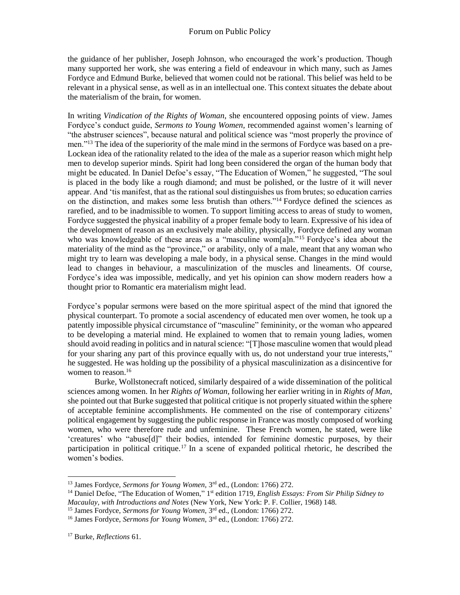the guidance of her publisher, Joseph Johnson, who encouraged the work's production. Though many supported her work, she was entering a field of endeavour in which many, such as James Fordyce and Edmund Burke, believed that women could not be rational. This belief was held to be relevant in a physical sense, as well as in an intellectual one. This context situates the debate about the materialism of the brain, for women.

In writing *Vindication of the Rights of Woman*, she encountered opposing points of view. James Fordyce's conduct guide, *Sermons to Young Women,* recommended against women's learning of "the abstruser sciences", because natural and political science was "most properly the province of men.<sup>"13</sup> The idea of the superiority of the male mind in the sermons of Fordyce was based on a pre-Lockean idea of the rationality related to the idea of the male as a superior reason which might help men to develop superior minds. Spirit had long been considered the organ of the human body that might be educated. In Daniel Defoe's essay, "The Education of Women," he suggested, "The soul is placed in the body like a rough diamond; and must be polished, or the lustre of it will never appear. And 'tis manifest, that as the rational soul distinguishes us from brutes; so education carries on the distinction, and makes some less brutish than others."<sup>14</sup> Fordyce defined the sciences as rarefied, and to be inadmissible to women. To support limiting access to areas of study to women, Fordyce suggested the physical inability of a proper female body to learn. Expressive of his idea of the development of reason as an exclusively male ability, physically, Fordyce defined any woman who was knowledgeable of these areas as a "masculine wom $[a]_n$ ."<sup>15</sup> Fordyce's idea about the materiality of the mind as the "province," or arability, only of a male, meant that any woman who might try to learn was developing a male body, in a physical sense. Changes in the mind would lead to changes in behaviour, a masculinization of the muscles and lineaments. Of course, Fordyce's idea was impossible, medically, and yet his opinion can show modern readers how a thought prior to Romantic era materialism might lead.

Fordyce's popular sermons were based on the more spiritual aspect of the mind that ignored the physical counterpart. To promote a social ascendency of educated men over women, he took up a patently impossible physical circumstance of "masculine" femininity, or the woman who appeared to be developing a material mind. He explained to women that to remain young ladies, women should avoid reading in politics and in natural science: "[T]hose masculine women that would plead for your sharing any part of this province equally with us, do not understand your true interests," he suggested. He was holding up the possibility of a physical masculinization as a disincentive for women to reason.<sup>16</sup>

Burke, Wollstonecraft noticed, similarly despaired of a wide dissemination of the political sciences among women. In her *Rights of Woman,* following her earlier writing in in *Rights of Man*, she pointed out that Burke suggested that political critique is not properly situated within the sphere of acceptable feminine accomplishments. He commented on the rise of contemporary citizens' political engagement by suggesting the public response in France was mostly composed of working women, who were therefore rude and unfeminine. These French women, he stated, were like 'creatures' who "abuse[d]" their bodies, intended for feminine domestic purposes, by their participation in political critique.<sup>17</sup> In a scene of expanded political rhetoric, he described the women's bodies.

<sup>&</sup>lt;sup>13</sup> James Fordyce, *Sermons for Young Women*, 3<sup>rd</sup> ed., (London: 1766) 272.

<sup>&</sup>lt;sup>14</sup> Daniel Defoe, "The Education of Women," 1<sup>st</sup> edition 1719, *English Essays: From Sir Philip Sidney to* 

*Macaulay, with Introductions and Notes* (New York, New York: P. F. Collier, 1968) 148.

<sup>&</sup>lt;sup>15</sup> James Fordyce, *Sermons for Young Women*, 3<sup>rd</sup> ed., (London: 1766) 272.

<sup>&</sup>lt;sup>16</sup> James Fordyce, Sermons for Young Women, 3<sup>rd</sup> ed., (London: 1766) 272.

<sup>17</sup> Burke, *Reflections* 61.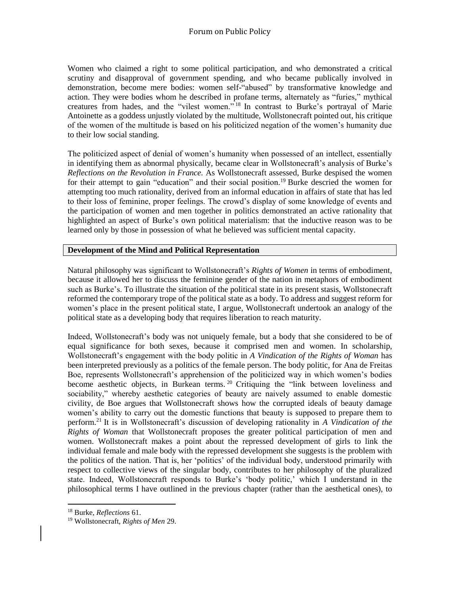Women who claimed a right to some political participation, and who demonstrated a critical scrutiny and disapproval of government spending, and who became publically involved in demonstration, become mere bodies: women self-"abused" by transformative knowledge and action. They were bodies whom he described in profane terms, alternately as "furies," mythical creatures from hades, and the "vilest women." <sup>18</sup> In contrast to Burke's portrayal of Marie Antoinette as a goddess unjustly violated by the multitude, Wollstonecraft pointed out, his critique of the women of the multitude is based on his politicized negation of the women's humanity due to their low social standing.

The politicized aspect of denial of women's humanity when possessed of an intellect, essentially in identifying them as abnormal physically, became clear in Wollstonecraft's analysis of Burke's *Reflections on the Revolution in France.* As Wollstonecraft assessed, Burke despised the women for their attempt to gain "education" and their social position.<sup>19</sup> Burke descried the women for attempting too much rationality, derived from an informal education in affairs of state that has led to their loss of feminine, proper feelings. The crowd's display of some knowledge of events and the participation of women and men together in politics demonstrated an active rationality that highlighted an aspect of Burke's own political materialism: that the inductive reason was to be learned only by those in possession of what he believed was sufficient mental capacity.

# **Development of the Mind and Political Representation**

Natural philosophy was significant to Wollstonecraft's *Rights of Women* in terms of embodiment, because it allowed her to discuss the feminine gender of the nation in metaphors of embodiment such as Burke's. To illustrate the situation of the political state in its present stasis, Wollstonecraft reformed the contemporary trope of the political state as a body. To address and suggest reform for women's place in the present political state, I argue, Wollstonecraft undertook an analogy of the political state as a developing body that requires liberation to reach maturity.

Indeed, Wollstonecraft's body was not uniquely female, but a body that she considered to be of equal significance for both sexes, because it comprised men and women. In scholarship, Wollstonecraft's engagement with the body politic in *A Vindication of the Rights of Woman* has been interpreted previously as a politics of the female person. The body politic, for Ana de Freitas Boe, represents Wollstonecraft's apprehension of the politicized way in which women's bodies become aesthetic objects, in Burkean terms. <sup>20</sup> Critiquing the "link between loveliness and sociability," whereby aesthetic categories of beauty are naively assumed to enable domestic civility, de Boe argues that Wollstonecraft shows how the corrupted ideals of beauty damage women's ability to carry out the domestic functions that beauty is supposed to prepare them to perform.<sup>21</sup> It is in Wollstonecraft's discussion of developing rationality in *A Vindication of the Rights of Woman* that Wollstonecraft proposes the greater political participation of men and women. Wollstonecraft makes a point about the repressed development of girls to link the individual female and male body with the repressed development she suggests is the problem with the politics of the nation. That is, her 'politics' of the individual body, understood primarily with respect to collective views of the singular body, contributes to her philosophy of the pluralized state. Indeed, Wollstonecraft responds to Burke's 'body politic,' which I understand in the philosophical terms I have outlined in the previous chapter (rather than the aesthetical ones), to

l

<sup>18</sup> Burke, *Reflections* 61.

<sup>19</sup> Wollstonecraft, *Rights of Men* 29.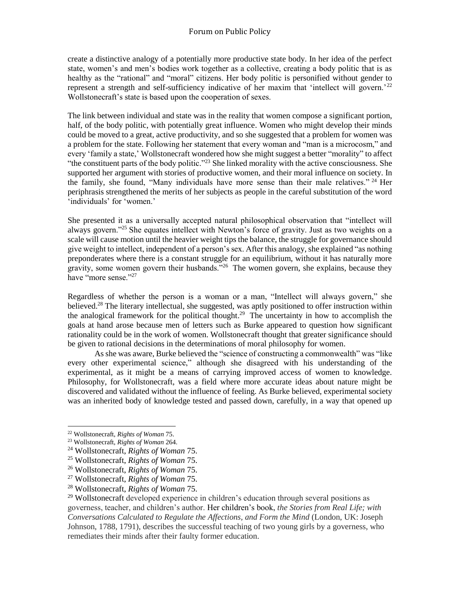create a distinctive analogy of a potentially more productive state body. In her idea of the perfect state, women's and men's bodies work together as a collective, creating a body politic that is as healthy as the "rational" and "moral" citizens. Her body politic is personified without gender to represent a strength and self-sufficiency indicative of her maxim that 'intellect will govern.'<sup>22</sup> Wollstonecraft's state is based upon the cooperation of sexes.

The link between individual and state was in the reality that women compose a significant portion, half, of the body politic, with potentially great influence. Women who might develop their minds could be moved to a great, active productivity, and so she suggested that a problem for women was a problem for the state. Following her statement that every woman and "man is a microcosm," and every 'family a state,' Wollstonecraft wondered how she might suggest a better "morality" to affect "the constituent parts of the body politic."<sup>23</sup> She linked morality with the active consciousness. She supported her argument with stories of productive women, and their moral influence on society. In the family, she found, "Many individuals have more sense than their male relatives." <sup>24</sup> Her periphrasis strengthened the merits of her subjects as people in the careful substitution of the word 'individuals' for 'women.'

She presented it as a universally accepted natural philosophical observation that "intellect will always govern."<sup>25</sup> She equates intellect with Newton's force of gravity. Just as two weights on a scale will cause motion until the heavier weight tips the balance, the struggle for governance should give weight to intellect, independent of a person's sex. After this analogy, she explained "as nothing preponderates where there is a constant struggle for an equilibrium, without it has naturally more gravity, some women govern their husbands."<sup>26</sup> The women govern, she explains, because they have "more sense."<sup>27</sup>

Regardless of whether the person is a woman or a man, "Intellect will always govern," she believed.<sup>28</sup> The literary intellectual, she suggested, was aptly positioned to offer instruction within the analogical framework for the political thought.<sup>29</sup> The uncertainty in how to accomplish the goals at hand arose because men of letters such as Burke appeared to question how significant rationality could be in the work of women. Wollstonecraft thought that greater significance should be given to rational decisions in the determinations of moral philosophy for women.

As she was aware, Burke believed the "science of constructing a commonwealth" was "like every other experimental science," although she disagreed with his understanding of the experimental, as it might be a means of carrying improved access of women to knowledge. Philosophy, for Wollstonecraft, was a field where more accurate ideas about nature might be discovered and validated without the influence of feeling. As Burke believed, experimental society was an inherited body of knowledge tested and passed down, carefully, in a way that opened up

<sup>22</sup> Wollstonecraft, *Rights of Woman* 75.

<sup>23</sup> Wollstonecraft, *Rights of Woman* 264.

<sup>24</sup> Wollstonecraft, *Rights of Woman* 75.

<sup>25</sup> Wollstonecraft, *Rights of Woman* 75.

<sup>26</sup> Wollstonecraft, *Rights of Woman* 75.

<sup>27</sup> Wollstonecraft, *Rights of Woman* 75.

<sup>28</sup> Wollstonecraft, *Rights of Woman* 75.

 $^{29}$  Wollstonecraft developed experience in children's education through several positions as governess, teacher, and children's author. Her children's book, *the Stories from Real Life; with Conversations Calculated to Regulate the Affections, and Form the Mind* (London, UK: Joseph Johnson, 1788, 1791), describes the successful teaching of two young girls by a governess, who remediates their minds after their faulty former education.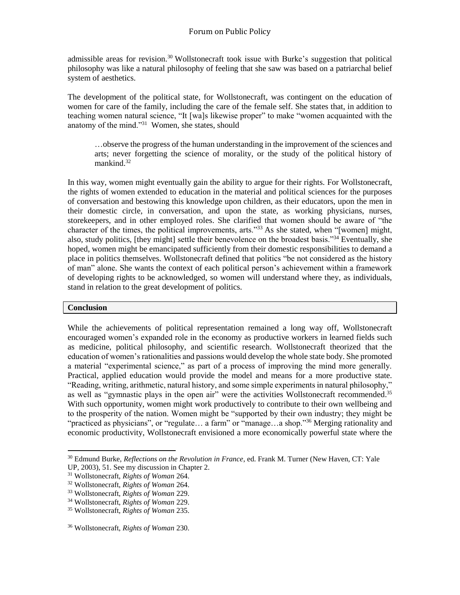admissible areas for revision.<sup>30</sup> Wollstonecraft took issue with Burke's suggestion that political philosophy was like a natural philosophy of feeling that she saw was based on a patriarchal belief system of aesthetics.

The development of the political state, for Wollstonecraft, was contingent on the education of women for care of the family, including the care of the female self. She states that, in addition to teaching women natural science, "It [wa]s likewise proper" to make "women acquainted with the anatomy of the mind."<sup>31</sup> Women, she states, should

…observe the progress of the human understanding in the improvement of the sciences and arts; never forgetting the science of morality, or the study of the political history of mankind. $32$ 

In this way, women might eventually gain the ability to argue for their rights. For Wollstonecraft, the rights of women extended to education in the material and political sciences for the purposes of conversation and bestowing this knowledge upon children, as their educators, upon the men in their domestic circle, in conversation, and upon the state, as working physicians, nurses, storekeepers, and in other employed roles. She clarified that women should be aware of "the character of the times, the political improvements, arts."<sup>33</sup> As she stated, when "[women] might, also, study politics, [they might] settle their benevolence on the broadest basis."<sup>34</sup> Eventually, she hoped, women might be emancipated sufficiently from their domestic responsibilities to demand a place in politics themselves. Wollstonecraft defined that politics "be not considered as the history of man" alone. She wants the context of each political person's achievement within a framework of developing rights to be acknowledged, so women will understand where they, as individuals, stand in relation to the great development of politics.

### **Conclusion**

 $\overline{a}$ 

While the achievements of political representation remained a long way off, Wollstonecraft encouraged women's expanded role in the economy as productive workers in learned fields such as medicine, political philosophy, and scientific research. Wollstonecraft theorized that the education of women's rationalities and passions would develop the whole state body. She promoted a material "experimental science," as part of a process of improving the mind more generally. Practical, applied education would provide the model and means for a more productive state. "Reading, writing, arithmetic, natural history, and some simple experiments in natural philosophy," as well as "gymnastic plays in the open air" were the activities Wollstonecraft recommended.<sup>35</sup> With such opportunity, women might work productively to contribute to their own wellbeing and to the prosperity of the nation. Women might be "supported by their own industry; they might be "practiced as physicians", or "regulate... a farm" or "manage...a shop."<sup>36</sup> Merging rationality and economic productivity, Wollstonecraft envisioned a more economically powerful state where the

<sup>30</sup> Edmund Burke, *Reflections on the Revolution in France*, ed. Frank M. Turner (New Haven, CT: Yale UP, 2003), 51. See my discussion in Chapter 2.

<sup>31</sup> Wollstonecraft, *Rights of Woman* 264.

<sup>32</sup> Wollstonecraft, *Rights of Woman* 264.

<sup>33</sup> Wollstonecraft, *Rights of Woman* 229.

<sup>34</sup> Wollstonecraft, *Rights of Woman* 229.

<sup>35</sup> Wollstonecraft, *Rights of Woman* 235.

<sup>36</sup> Wollstonecraft, *Rights of Woman* 230.